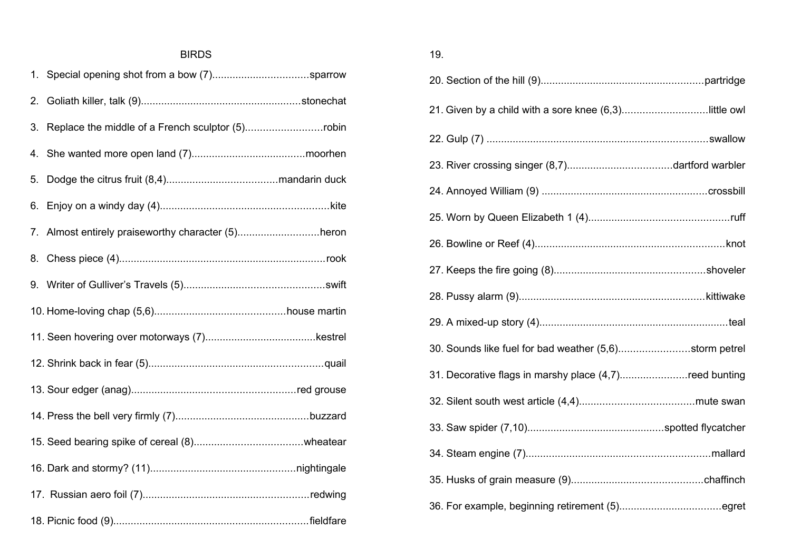## BIRDS

| 1.                                                    |
|-------------------------------------------------------|
| 2.                                                    |
| 3.                                                    |
| 4.                                                    |
| 5.                                                    |
| 6.                                                    |
| Almost entirely praiseworthy character (5)heron<br>7. |
| 8.                                                    |
| 9.                                                    |
|                                                       |
|                                                       |
|                                                       |
|                                                       |
|                                                       |
|                                                       |
|                                                       |
|                                                       |
|                                                       |

| ï<br>I | ٦<br>۰.<br>v<br>I<br>×<br>۰,<br>× |  |
|--------|-----------------------------------|--|
|        |                                   |  |

| 21. Given by a child with a sore knee (6,3)little owl  |  |
|--------------------------------------------------------|--|
|                                                        |  |
|                                                        |  |
|                                                        |  |
|                                                        |  |
|                                                        |  |
|                                                        |  |
|                                                        |  |
|                                                        |  |
| 30. Sounds like fuel for bad weather (5,6)storm petrel |  |
| 31. Decorative flags in marshy place (4,7)reed bunting |  |
|                                                        |  |
|                                                        |  |
|                                                        |  |
|                                                        |  |
|                                                        |  |